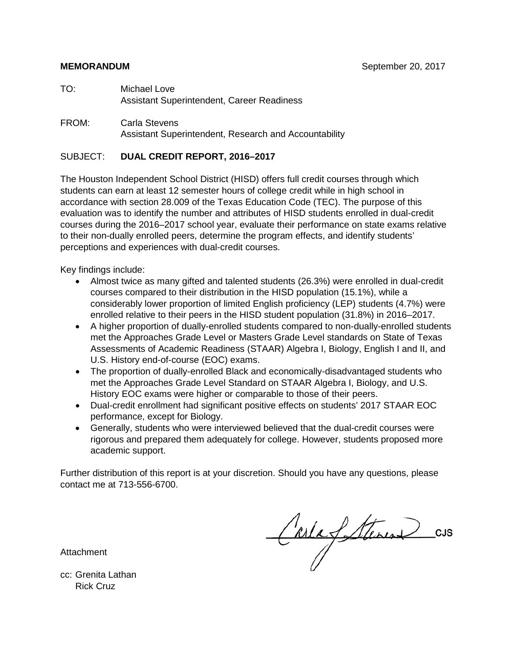#### **MEMORANDUM** September 20, 2017

- TO: Michael Love Assistant Superintendent, Career Readiness
- FROM: Carla Stevens Assistant Superintendent, Research and Accountability

#### SUBJECT: **DUAL CREDIT REPORT, 2016–2017**

The Houston Independent School District (HISD) offers full credit courses through which students can earn at least 12 semester hours of college credit while in high school in accordance with section 28.009 of the Texas Education Code (TEC). The purpose of this evaluation was to identify the number and attributes of HISD students enrolled in dual-credit courses during the 2016–2017 school year, evaluate their performance on state exams relative to their non-dually enrolled peers, determine the program effects, and identify students' perceptions and experiences with dual-credit courses.

Key findings include:

- Almost twice as many gifted and talented students (26.3%) were enrolled in dual-credit courses compared to their distribution in the HISD population (15.1%), while a considerably lower proportion of limited English proficiency (LEP) students (4.7%) were enrolled relative to their peers in the HISD student population (31.8%) in 2016–2017.
- A higher proportion of dually-enrolled students compared to non-dually-enrolled students met the Approaches Grade Level or Masters Grade Level standards on State of Texas Assessments of Academic Readiness (STAAR) Algebra I, Biology, English I and II, and U.S. History end-of-course (EOC) exams.
- The proportion of dually-enrolled Black and economically-disadvantaged students who met the Approaches Grade Level Standard on STAAR Algebra I, Biology, and U.S. History EOC exams were higher or comparable to those of their peers.
- Dual-credit enrollment had significant positive effects on students' 2017 STAAR EOC performance, except for Biology.
- Generally, students who were interviewed believed that the dual-credit courses were rigorous and prepared them adequately for college. However, students proposed more academic support.

Further distribution of this report is at your discretion. Should you have any questions, please contact me at 713-556-6700.

CarlaStérin des

Attachment

cc: Grenita Lathan Rick Cruz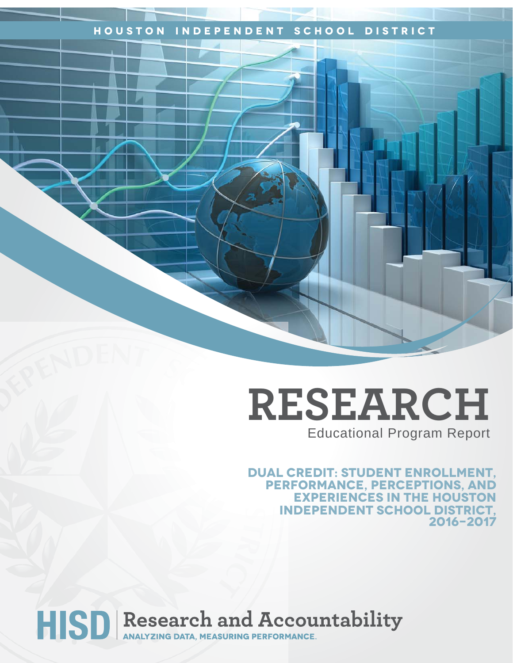## **Houston Independent School District**

# **RESEARCH** Educational Program Report

**Dual Credit: Student Enrollment, performance, perceptions, and experiences in the houston independent school district, 2016-2017**

HISD Research and Accountability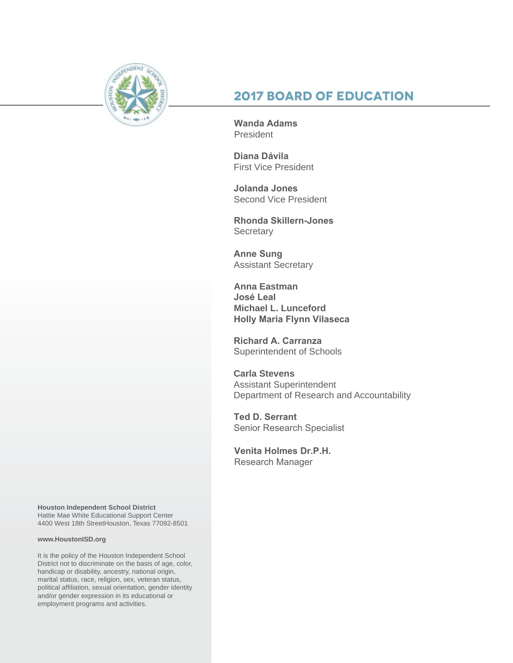

## **2017 Board of Education**

**Wanda Adams President** 

**Diana Dávila**  First Vice President

**Jolanda Jones**  Second Vice President

**Rhonda Skillern-Jones Secretary** 

**Anne Sung** Assistant Secretary

**Anna Eastman José Leal Michael L. Lunceford Holly Maria Flynn Vilaseca**

**Richard A. Carranza** Superintendent of Schools

**Carla Stevens** Assistant Superintendent Department of Research and Accountability

**Ted D. Serrant** Senior Research Specialist

**Venita Holmes Dr.P.H.** Research Manager

**Houston Independent School District** Hattie Mae White Educational Support Center 4400 West 18th StreetHouston, Texas 77092-8501

#### **www.HoustonISD.org**

It is the policy of the Houston Independent School District not to discriminate on the basis of age, color, handicap or disability, ancestry, national origin, marital status, race, religion, sex, veteran status, political affiliation, sexual orientation, gender identity and/or gender expression in its educational or employment programs and activities.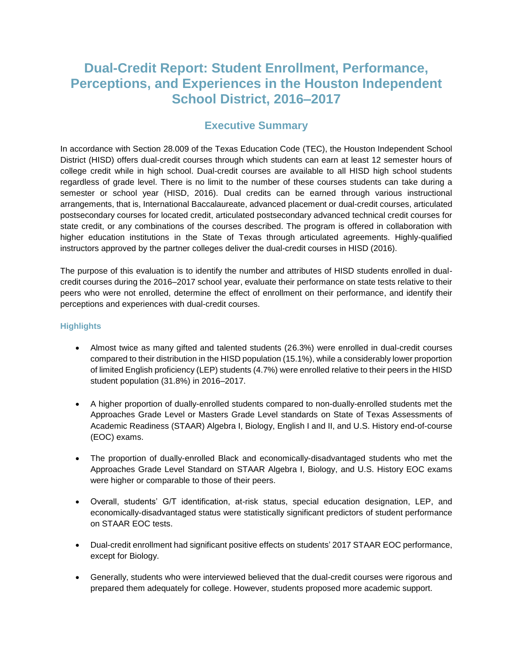## **Dual-Credit Report: Student Enrollment, Performance, Perceptions, and Experiences in the Houston Independent School District, 2016–2017**

#### **Executive Summary**

In accordance with Section 28.009 of the Texas Education Code (TEC), the Houston Independent School District (HISD) offers dual-credit courses through which students can earn at least 12 semester hours of college credit while in high school. Dual-credit courses are available to all HISD high school students regardless of grade level. There is no limit to the number of these courses students can take during a semester or school year (HISD, 2016). Dual credits can be earned through various instructional arrangements, that is, International Baccalaureate, advanced placement or dual-credit courses, articulated postsecondary courses for located credit, articulated postsecondary advanced technical credit courses for state credit, or any combinations of the courses described. The program is offered in collaboration with higher education institutions in the State of Texas through articulated agreements. Highly-qualified instructors approved by the partner colleges deliver the dual-credit courses in HISD (2016).

The purpose of this evaluation is to identify the number and attributes of HISD students enrolled in dualcredit courses during the 2016–2017 school year, evaluate their performance on state tests relative to their peers who were not enrolled, determine the effect of enrollment on their performance, and identify their perceptions and experiences with dual-credit courses.

#### **Highlights**

- Almost twice as many gifted and talented students (26.3%) were enrolled in dual-credit courses compared to their distribution in the HISD population (15.1%), while a considerably lower proportion of limited English proficiency (LEP) students (4.7%) were enrolled relative to their peers in the HISD student population (31.8%) in 2016–2017.
- A higher proportion of dually-enrolled students compared to non-dually-enrolled students met the Approaches Grade Level or Masters Grade Level standards on State of Texas Assessments of Academic Readiness (STAAR) Algebra I, Biology, English I and II, and U.S. History end-of-course (EOC) exams.
- The proportion of dually-enrolled Black and economically-disadvantaged students who met the Approaches Grade Level Standard on STAAR Algebra I, Biology, and U.S. History EOC exams were higher or comparable to those of their peers.
- Overall, students' G/T identification, at-risk status, special education designation, LEP, and economically-disadvantaged status were statistically significant predictors of student performance on STAAR EOC tests.
- Dual-credit enrollment had significant positive effects on students' 2017 STAAR EOC performance, except for Biology.
- Generally, students who were interviewed believed that the dual-credit courses were rigorous and prepared them adequately for college. However, students proposed more academic support.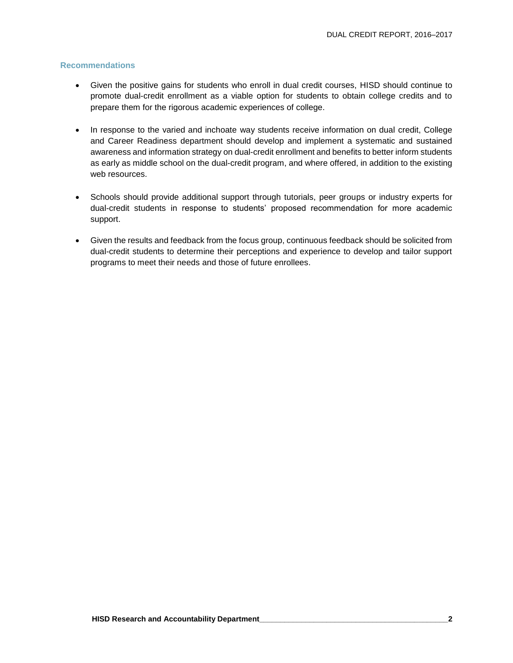#### **Recommendations**

- Given the positive gains for students who enroll in dual credit courses, HISD should continue to promote dual-credit enrollment as a viable option for students to obtain college credits and to prepare them for the rigorous academic experiences of college.
- In response to the varied and inchoate way students receive information on dual credit, College and Career Readiness department should develop and implement a systematic and sustained awareness and information strategy on dual-credit enrollment and benefits to better inform students as early as middle school on the dual-credit program, and where offered, in addition to the existing web resources.
- Schools should provide additional support through tutorials, peer groups or industry experts for dual-credit students in response to students' proposed recommendation for more academic support.
- Given the results and feedback from the focus group, continuous feedback should be solicited from dual-credit students to determine their perceptions and experience to develop and tailor support programs to meet their needs and those of future enrollees.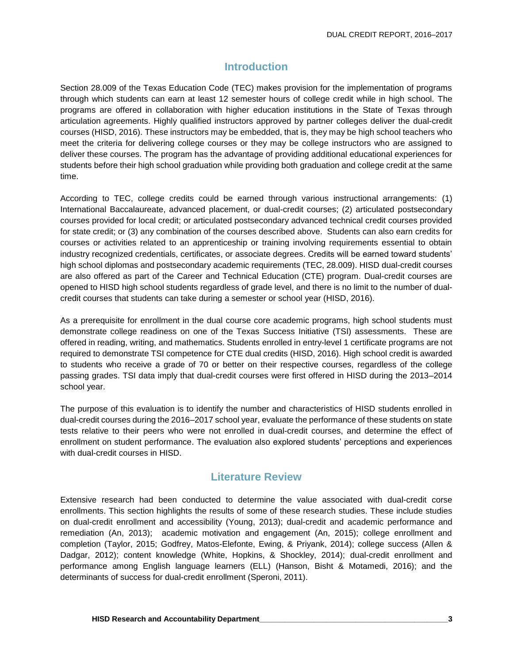### **Introduction**

Section 28.009 of the Texas Education Code (TEC) makes provision for the implementation of programs through which students can earn at least 12 semester hours of college credit while in high school. The programs are offered in collaboration with higher education institutions in the State of Texas through articulation agreements. Highly qualified instructors approved by partner colleges deliver the dual-credit courses (HISD, 2016). These instructors may be embedded, that is, they may be high school teachers who meet the criteria for delivering college courses or they may be college instructors who are assigned to deliver these courses. The program has the advantage of providing additional educational experiences for students before their high school graduation while providing both graduation and college credit at the same time.

According to TEC, college credits could be earned through various instructional arrangements: (1) International Baccalaureate, advanced placement, or dual-credit courses; (2) articulated postsecondary courses provided for local credit; or articulated postsecondary advanced technical credit courses provided for state credit; or (3) any combination of the courses described above. Students can also earn credits for courses or activities related to an apprenticeship or training involving requirements essential to obtain industry recognized credentials, certificates, or associate degrees. Credits will be earned toward students' high school diplomas and postsecondary academic requirements (TEC, 28.009). HISD dual-credit courses are also offered as part of the Career and Technical Education (CTE) program. Dual-credit courses are opened to HISD high school students regardless of grade level, and there is no limit to the number of dualcredit courses that students can take during a semester or school year (HISD, 2016).

As a prerequisite for enrollment in the dual course core academic programs, high school students must demonstrate college readiness on one of the Texas Success Initiative (TSI) assessments. These are offered in reading, writing, and mathematics. Students enrolled in entry-level 1 certificate programs are not required to demonstrate TSI competence for CTE dual credits (HISD, 2016). High school credit is awarded to students who receive a grade of 70 or better on their respective courses, regardless of the college passing grades. TSI data imply that dual-credit courses were first offered in HISD during the 2013–2014 school year.

The purpose of this evaluation is to identify the number and characteristics of HISD students enrolled in dual-credit courses during the 2016–2017 school year, evaluate the performance of these students on state tests relative to their peers who were not enrolled in dual-credit courses, and determine the effect of enrollment on student performance. The evaluation also explored students' perceptions and experiences with dual-credit courses in HISD.

#### **Literature Review**

Extensive research had been conducted to determine the value associated with dual-credit corse enrollments. This section highlights the results of some of these research studies. These include studies on dual-credit enrollment and accessibility (Young, 2013); dual-credit and academic performance and remediation (An, 2013); academic motivation and engagement (An, 2015); college enrollment and completion (Taylor, 2015; Godfrey, Matos-Elefonte, Ewing, & Priyank, 2014); college success (Allen & Dadgar, 2012); content knowledge (White, Hopkins, & Shockley, 2014); dual-credit enrollment and performance among English language learners (ELL) (Hanson, Bisht & Motamedi, 2016); and the determinants of success for dual-credit enrollment (Speroni, 2011).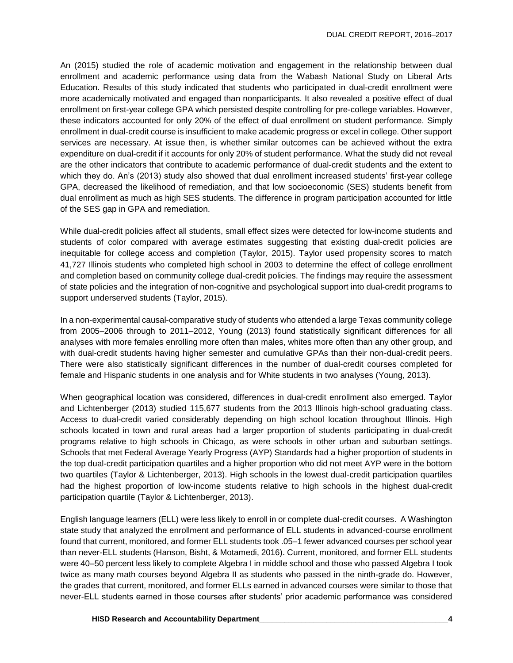An (2015) studied the role of academic motivation and engagement in the relationship between dual enrollment and academic performance using data from the Wabash National Study on Liberal Arts Education. Results of this study indicated that students who participated in dual-credit enrollment were more academically motivated and engaged than nonparticipants. It also revealed a positive effect of dual enrollment on first-year college GPA which persisted despite controlling for pre-college variables. However, these indicators accounted for only 20% of the effect of dual enrollment on student performance. Simply enrollment in dual-credit course is insufficient to make academic progress or excel in college. Other support services are necessary. At issue then, is whether similar outcomes can be achieved without the extra expenditure on dual-credit if it accounts for only 20% of student performance. What the study did not reveal are the other indicators that contribute to academic performance of dual-credit students and the extent to which they do. An's (2013) study also showed that dual enrollment increased students' first-year college GPA, decreased the likelihood of remediation, and that low socioeconomic (SES) students benefit from dual enrollment as much as high SES students. The difference in program participation accounted for little of the SES gap in GPA and remediation.

While dual-credit policies affect all students, small effect sizes were detected for low-income students and students of color compared with average estimates suggesting that existing dual-credit policies are inequitable for college access and completion (Taylor, 2015). Taylor used propensity scores to match 41,727 Illinois students who completed high school in 2003 to determine the effect of college enrollment and completion based on community college dual-credit policies. The findings may require the assessment of state policies and the integration of non-cognitive and psychological support into dual-credit programs to support underserved students (Taylor, 2015).

In a non-experimental causal-comparative study of students who attended a large Texas community college from 2005–2006 through to 2011–2012, Young (2013) found statistically significant differences for all analyses with more females enrolling more often than males, whites more often than any other group, and with dual-credit students having higher semester and cumulative GPAs than their non-dual-credit peers. There were also statistically significant differences in the number of dual-credit courses completed for female and Hispanic students in one analysis and for White students in two analyses (Young, 2013).

When geographical location was considered, differences in dual-credit enrollment also emerged. Taylor and Lichtenberger (2013) studied 115,677 students from the 2013 Illinois high-school graduating class. Access to dual-credit varied considerably depending on high school location throughout Illinois. High schools located in town and rural areas had a larger proportion of students participating in dual-credit programs relative to high schools in Chicago, as were schools in other urban and suburban settings. Schools that met Federal Average Yearly Progress (AYP) Standards had a higher proportion of students in the top dual-credit participation quartiles and a higher proportion who did not meet AYP were in the bottom two quartiles (Taylor & Lichtenberger, 2013). High schools in the lowest dual-credit participation quartiles had the highest proportion of low-income students relative to high schools in the highest dual-credit participation quartile (Taylor & Lichtenberger, 2013).

English language learners (ELL) were less likely to enroll in or complete dual-credit courses. A Washington state study that analyzed the enrollment and performance of ELL students in advanced-course enrollment found that current, monitored, and former ELL students took .05–1 fewer advanced courses per school year than never-ELL students (Hanson, Bisht, & Motamedi, 2016). Current, monitored, and former ELL students were 40–50 percent less likely to complete Algebra I in middle school and those who passed Algebra I took twice as many math courses beyond Algebra II as students who passed in the ninth-grade do. However, the grades that current, monitored, and former ELLs earned in advanced courses were similar to those that never-ELL students earned in those courses after students' prior academic performance was considered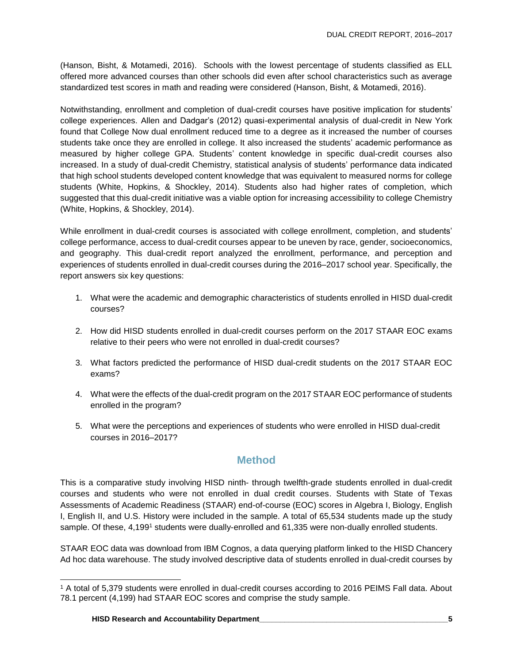(Hanson, Bisht, & Motamedi, 2016). Schools with the lowest percentage of students classified as ELL offered more advanced courses than other schools did even after school characteristics such as average standardized test scores in math and reading were considered (Hanson, Bisht, & Motamedi, 2016).

Notwithstanding, enrollment and completion of dual-credit courses have positive implication for students' college experiences. Allen and Dadgar's (2012) quasi-experimental analysis of dual-credit in New York found that College Now dual enrollment reduced time to a degree as it increased the number of courses students take once they are enrolled in college. It also increased the students' academic performance as measured by higher college GPA. Students' content knowledge in specific dual-credit courses also increased. In a study of dual-credit Chemistry, statistical analysis of students' performance data indicated that high school students developed content knowledge that was equivalent to measured norms for college students (White, Hopkins, & Shockley, 2014). Students also had higher rates of completion, which suggested that this dual-credit initiative was a viable option for increasing accessibility to college Chemistry (White, Hopkins, & Shockley, 2014).

While enrollment in dual-credit courses is associated with college enrollment, completion, and students' college performance, access to dual-credit courses appear to be uneven by race, gender, socioeconomics, and geography. This dual-credit report analyzed the enrollment, performance, and perception and experiences of students enrolled in dual-credit courses during the 2016–2017 school year. Specifically, the report answers six key questions:

- 1. What were the academic and demographic characteristics of students enrolled in HISD dual-credit courses?
- 2. How did HISD students enrolled in dual-credit courses perform on the 2017 STAAR EOC exams relative to their peers who were not enrolled in dual-credit courses?
- 3. What factors predicted the performance of HISD dual-credit students on the 2017 STAAR EOC exams?
- 4. What were the effects of the dual-credit program on the 2017 STAAR EOC performance of students enrolled in the program?
- 5. What were the perceptions and experiences of students who were enrolled in HISD dual-credit courses in 2016–2017?

### **Method**

This is a comparative study involving HISD ninth- through twelfth-grade students enrolled in dual-credit courses and students who were not enrolled in dual credit courses. Students with State of Texas Assessments of Academic Readiness (STAAR) end-of-course (EOC) scores in Algebra I, Biology, English I, English II, and U.S. History were included in the sample. A total of 65,534 students made up the study sample. Of these, 4,199<sup>1</sup> students were dually-enrolled and 61,335 were non-dually enrolled students.

STAAR EOC data was download from IBM Cognos, a data querying platform linked to the HISD Chancery Ad hoc data warehouse. The study involved descriptive data of students enrolled in dual-credit courses by

l

<sup>1</sup> A total of 5,379 students were enrolled in dual-credit courses according to 2016 PEIMS Fall data. About 78.1 percent (4,199) had STAAR EOC scores and comprise the study sample.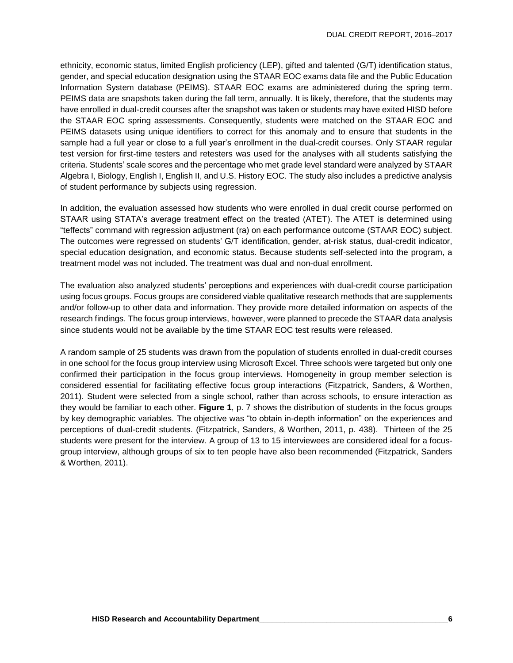ethnicity, economic status, limited English proficiency (LEP), gifted and talented (G/T) identification status, gender, and special education designation using the STAAR EOC exams data file and the Public Education Information System database (PEIMS). STAAR EOC exams are administered during the spring term. PEIMS data are snapshots taken during the fall term, annually. It is likely, therefore, that the students may have enrolled in dual-credit courses after the snapshot was taken or students may have exited HISD before the STAAR EOC spring assessments. Consequently, students were matched on the STAAR EOC and PEIMS datasets using unique identifiers to correct for this anomaly and to ensure that students in the sample had a full year or close to a full year's enrollment in the dual-credit courses. Only STAAR regular test version for first-time testers and retesters was used for the analyses with all students satisfying the criteria. Students' scale scores and the percentage who met grade level standard were analyzed by STAAR Algebra I, Biology, English I, English II, and U.S. History EOC. The study also includes a predictive analysis of student performance by subjects using regression.

In addition, the evaluation assessed how students who were enrolled in dual credit course performed on STAAR using STATA's average treatment effect on the treated (ATET). The ATET is determined using "teffects" command with regression adjustment (ra) on each performance outcome (STAAR EOC) subject. The outcomes were regressed on students' G/T identification, gender, at-risk status, dual-credit indicator, special education designation, and economic status. Because students self-selected into the program, a treatment model was not included. The treatment was dual and non-dual enrollment.

The evaluation also analyzed students' perceptions and experiences with dual-credit course participation using focus groups. Focus groups are considered viable qualitative research methods that are supplements and/or follow-up to other data and information. They provide more detailed information on aspects of the research findings. The focus group interviews, however, were planned to precede the STAAR data analysis since students would not be available by the time STAAR EOC test results were released.

A random sample of 25 students was drawn from the population of students enrolled in dual-credit courses in one school for the focus group interview using Microsoft Excel. Three schools were targeted but only one confirmed their participation in the focus group interviews. Homogeneity in group member selection is considered essential for facilitating effective focus group interactions (Fitzpatrick, Sanders, & Worthen, 2011). Student were selected from a single school, rather than across schools, to ensure interaction as they would be familiar to each other. **Figure 1**, p. 7 shows the distribution of students in the focus groups by key demographic variables. The objective was "to obtain in-depth information" on the experiences and perceptions of dual-credit students. (Fitzpatrick, Sanders, & Worthen, 2011, p. 438). Thirteen of the 25 students were present for the interview. A group of 13 to 15 interviewees are considered ideal for a focusgroup interview, although groups of six to ten people have also been recommended (Fitzpatrick, Sanders & Worthen, 2011).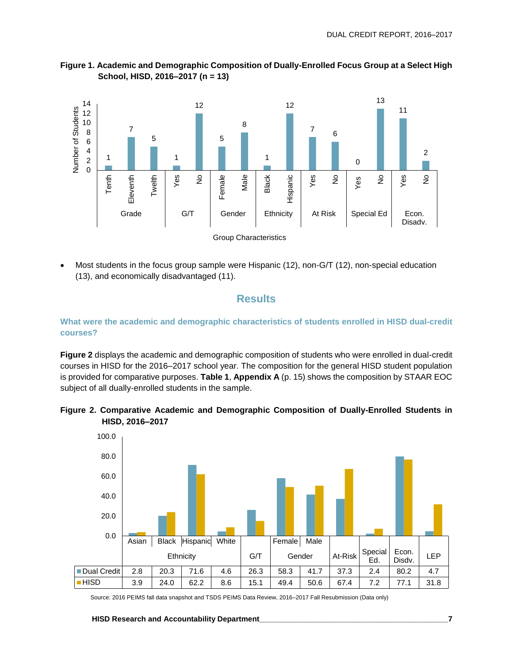



• Most students in the focus group sample were Hispanic (12), non-G/T (12), non-special education (13), and economically disadvantaged (11).

#### **Results**

**What were the academic and demographic characteristics of students enrolled in HISD dual-credit courses?**

**Figure 2** displays the academic and demographic composition of students who were enrolled in dual-credit courses in HISD for the 2016–2017 school year. The composition for the general HISD student population is provided for comparative purposes. **Table 1**, **Appendix A** (p. 15) shows the composition by STAAR EOC subject of all dually-enrolled students in the sample.





Source: 2016 PEIMS fall data snapshot and TSDS PEIMS Data Review, 2016–2017 Fall Resubmission (Data only)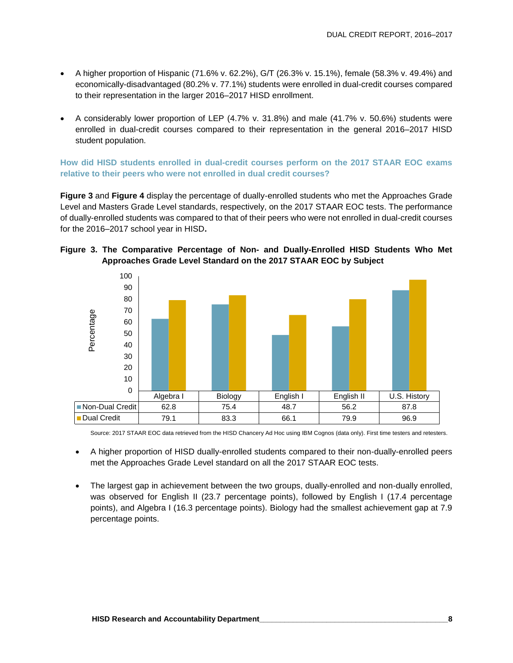- A higher proportion of Hispanic (71.6% v. 62.2%), G/T (26.3% v. 15.1%), female (58.3% v. 49.4%) and economically-disadvantaged (80.2% v. 77.1%) students were enrolled in dual-credit courses compared to their representation in the larger 2016–2017 HISD enrollment.
- A considerably lower proportion of LEP (4.7% v. 31.8%) and male (41.7% v. 50.6%) students were enrolled in dual-credit courses compared to their representation in the general 2016–2017 HISD student population.

**How did HISD students enrolled in dual-credit courses perform on the 2017 STAAR EOC exams relative to their peers who were not enrolled in dual credit courses?**

**Figure 3** and **Figure 4** display the percentage of dually-enrolled students who met the Approaches Grade Level and Masters Grade Level standards, respectively, on the 2017 STAAR EOC tests. The performance of dually-enrolled students was compared to that of their peers who were not enrolled in dual-credit courses for the 2016–2017 school year in HISD**.** 

#### **Figure 3. The Comparative Percentage of Non- and Dually-Enrolled HISD Students Who Met Approaches Grade Level Standard on the 2017 STAAR EOC by Subject**



Source: 2017 STAAR EOC data retrieved from the HISD Chancery Ad Hoc using IBM Cognos (data only). First time testers and retesters.

- A higher proportion of HISD dually-enrolled students compared to their non-dually-enrolled peers met the Approaches Grade Level standard on all the 2017 STAAR EOC tests.
- The largest gap in achievement between the two groups, dually-enrolled and non-dually enrolled, was observed for English II (23.7 percentage points), followed by English I (17.4 percentage points), and Algebra I (16.3 percentage points). Biology had the smallest achievement gap at 7.9 percentage points.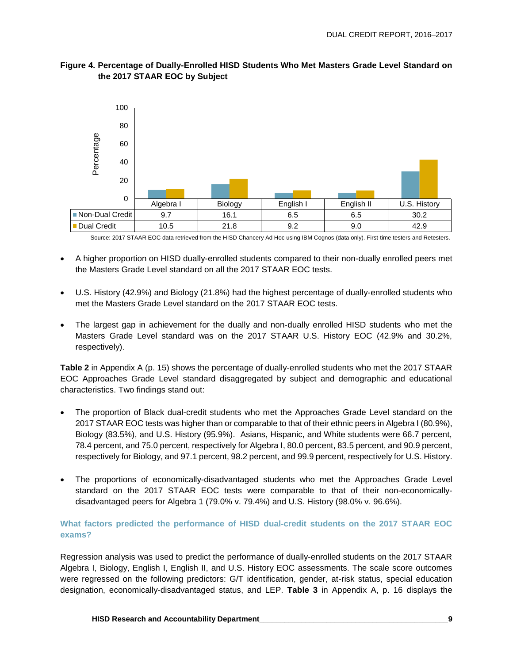

#### **Figure 4. Percentage of Dually-Enrolled HISD Students Who Met Masters Grade Level Standard on the 2017 STAAR EOC by Subject**

Source: 2017 STAAR EOC data retrieved from the HISD Chancery Ad Hoc using IBM Cognos (data only). First-time testers and Retesters.

- A higher proportion on HISD dually-enrolled students compared to their non-dually enrolled peers met the Masters Grade Level standard on all the 2017 STAAR EOC tests.
- U.S. History (42.9%) and Biology (21.8%) had the highest percentage of dually-enrolled students who met the Masters Grade Level standard on the 2017 STAAR EOC tests.
- The largest gap in achievement for the dually and non-dually enrolled HISD students who met the Masters Grade Level standard was on the 2017 STAAR U.S. History EOC (42.9% and 30.2%, respectively).

**Table 2** in Appendix A (p. 15) shows the percentage of dually-enrolled students who met the 2017 STAAR EOC Approaches Grade Level standard disaggregated by subject and demographic and educational characteristics. Two findings stand out:

- The proportion of Black dual-credit students who met the Approaches Grade Level standard on the 2017 STAAR EOC tests was higher than or comparable to that of their ethnic peers in Algebra I (80.9%), Biology (83.5%), and U.S. History (95.9%). Asians, Hispanic, and White students were 66.7 percent, 78.4 percent, and 75.0 percent, respectively for Algebra I, 80.0 percent, 83.5 percent, and 90.9 percent, respectively for Biology, and 97.1 percent, 98.2 percent, and 99.9 percent, respectively for U.S. History.
- The proportions of economically-disadvantaged students who met the Approaches Grade Level standard on the 2017 STAAR EOC tests were comparable to that of their non-economicallydisadvantaged peers for Algebra 1 (79.0% v. 79.4%) and U.S. History (98.0% v. 96.6%).

#### **What factors predicted the performance of HISD dual-credit students on the 2017 STAAR EOC exams?**

Regression analysis was used to predict the performance of dually-enrolled students on the 2017 STAAR Algebra I, Biology, English I, English II, and U.S. History EOC assessments. The scale score outcomes were regressed on the following predictors: G/T identification, gender, at-risk status, special education designation, economically-disadvantaged status, and LEP. **Table 3** in Appendix A, p. 16 displays the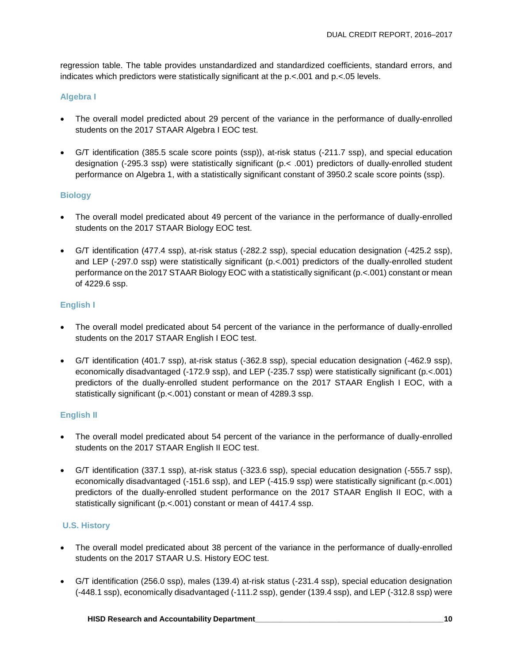regression table. The table provides unstandardized and standardized coefficients, standard errors, and indicates which predictors were statistically significant at the p.<.001 and p.<.05 levels.

#### **Algebra I**

- The overall model predicted about 29 percent of the variance in the performance of dually-enrolled students on the 2017 STAAR Algebra I EOC test.
- G/T identification (385.5 scale score points (ssp)), at-risk status (-211.7 ssp), and special education designation (-295.3 ssp) were statistically significant (p.< .001) predictors of dually-enrolled student performance on Algebra 1, with a statistically significant constant of 3950.2 scale score points (ssp).

#### **Biology**

- The overall model predicated about 49 percent of the variance in the performance of dually-enrolled students on the 2017 STAAR Biology EOC test.
- G/T identification (477.4 ssp), at-risk status (-282.2 ssp), special education designation (-425.2 ssp), and LEP (-297.0 ssp) were statistically significant (p.<.001) predictors of the dually-enrolled student performance on the 2017 STAAR Biology EOC with a statistically significant (p.<.001) constant or mean of 4229.6 ssp.

#### **English I**

- The overall model predicated about 54 percent of the variance in the performance of dually-enrolled students on the 2017 STAAR English I EOC test.
- G/T identification (401.7 ssp), at-risk status (-362.8 ssp), special education designation (-462.9 ssp), economically disadvantaged (-172.9 ssp), and LEP (-235.7 ssp) were statistically significant (p.<.001) predictors of the dually-enrolled student performance on the 2017 STAAR English I EOC, with a statistically significant (p.<.001) constant or mean of 4289.3 ssp.

#### **English II**

- The overall model predicated about 54 percent of the variance in the performance of dually-enrolled students on the 2017 STAAR English II EOC test.
- G/T identification (337.1 ssp), at-risk status (-323.6 ssp), special education designation (-555.7 ssp), economically disadvantaged (-151.6 ssp), and LEP (-415.9 ssp) were statistically significant (p.<.001) predictors of the dually-enrolled student performance on the 2017 STAAR English II EOC, with a statistically significant (p.<.001) constant or mean of 4417.4 ssp.

#### **U.S. History**

- The overall model predicated about 38 percent of the variance in the performance of dually-enrolled students on the 2017 STAAR U.S. History EOC test.
- G/T identification (256.0 ssp), males (139.4) at-risk status (-231.4 ssp), special education designation (-448.1 ssp), economically disadvantaged (-111.2 ssp), gender (139.4 ssp), and LEP (-312.8 ssp) were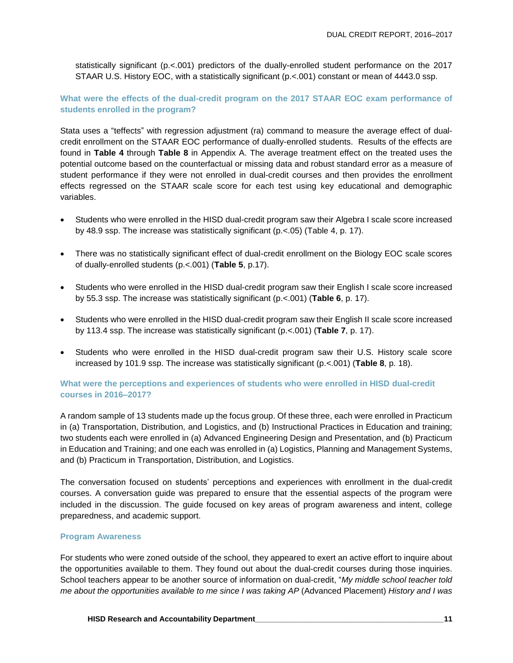statistically significant (p.<.001) predictors of the dually-enrolled student performance on the 2017 STAAR U.S. History EOC, with a statistically significant (p.<.001) constant or mean of 4443.0 ssp.

**What were the effects of the dual-credit program on the 2017 STAAR EOC exam performance of students enrolled in the program?**

Stata uses a "teffects" with regression adjustment (ra) command to measure the average effect of dualcredit enrollment on the STAAR EOC performance of dually-enrolled students. Results of the effects are found in **Table 4** through **Table 8** in Appendix A. The average treatment effect on the treated uses the potential outcome based on the counterfactual or missing data and robust standard error as a measure of student performance if they were not enrolled in dual-credit courses and then provides the enrollment effects regressed on the STAAR scale score for each test using key educational and demographic variables.

- Students who were enrolled in the HISD dual-credit program saw their Algebra I scale score increased by 48.9 ssp. The increase was statistically significant (p.<.05) (Table 4, p. 17).
- There was no statistically significant effect of dual-credit enrollment on the Biology EOC scale scores of dually-enrolled students (p.<.001) (**Table 5**, p.17).
- Students who were enrolled in the HISD dual-credit program saw their English I scale score increased by 55.3 ssp. The increase was statistically significant (p.<.001) (**Table 6**, p. 17).
- Students who were enrolled in the HISD dual-credit program saw their English II scale score increased by 113.4 ssp. The increase was statistically significant (p.<.001) (**Table 7**, p. 17).
- Students who were enrolled in the HISD dual-credit program saw their U.S. History scale score increased by 101.9 ssp. The increase was statistically significant (p.<.001) (**Table 8**, p. 18).

#### **What were the perceptions and experiences of students who were enrolled in HISD dual-credit courses in 2016–2017?**

A random sample of 13 students made up the focus group. Of these three, each were enrolled in Practicum in (a) Transportation, Distribution, and Logistics, and (b) Instructional Practices in Education and training; two students each were enrolled in (a) Advanced Engineering Design and Presentation, and (b) Practicum in Education and Training; and one each was enrolled in (a) Logistics, Planning and Management Systems, and (b) Practicum in Transportation, Distribution, and Logistics.

The conversation focused on students' perceptions and experiences with enrollment in the dual-credit courses. A conversation guide was prepared to ensure that the essential aspects of the program were included in the discussion. The guide focused on key areas of program awareness and intent, college preparedness, and academic support.

#### **Program Awareness**

For students who were zoned outside of the school, they appeared to exert an active effort to inquire about the opportunities available to them. They found out about the dual-credit courses during those inquiries. School teachers appear to be another source of information on dual-credit, "*My middle school teacher told me about the opportunities available to me since I was taking AP* (Advanced Placement) *History and I was*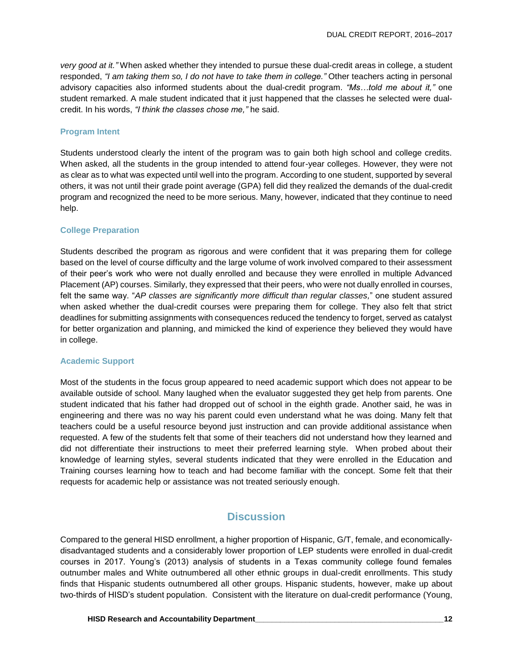*very good at it."* When asked whether they intended to pursue these dual-credit areas in college, a student responded, *"I am taking them so, I do not have to take them in college."* Other teachers acting in personal advisory capacities also informed students about the dual-credit program. *"Ms…told me about it,"* one student remarked. A male student indicated that it just happened that the classes he selected were dualcredit. In his words, *"I think the classes chose me,"* he said.

#### **Program Intent**

Students understood clearly the intent of the program was to gain both high school and college credits. When asked, all the students in the group intended to attend four-year colleges. However, they were not as clear as to what was expected until well into the program. According to one student, supported by several others, it was not until their grade point average (GPA) fell did they realized the demands of the dual-credit program and recognized the need to be more serious. Many, however, indicated that they continue to need help.

#### **College Preparation**

Students described the program as rigorous and were confident that it was preparing them for college based on the level of course difficulty and the large volume of work involved compared to their assessment of their peer's work who were not dually enrolled and because they were enrolled in multiple Advanced Placement (AP) courses. Similarly, they expressed that their peers, who were not dually enrolled in courses, felt the same way. "*AP classes are significantly more difficult than regular classes,*" one student assured when asked whether the dual-credit courses were preparing them for college. They also felt that strict deadlines for submitting assignments with consequences reduced the tendency to forget, served as catalyst for better organization and planning, and mimicked the kind of experience they believed they would have in college.

#### **Academic Support**

Most of the students in the focus group appeared to need academic support which does not appear to be available outside of school. Many laughed when the evaluator suggested they get help from parents. One student indicated that his father had dropped out of school in the eighth grade. Another said, he was in engineering and there was no way his parent could even understand what he was doing. Many felt that teachers could be a useful resource beyond just instruction and can provide additional assistance when requested. A few of the students felt that some of their teachers did not understand how they learned and did not differentiate their instructions to meet their preferred learning style. When probed about their knowledge of learning styles, several students indicated that they were enrolled in the Education and Training courses learning how to teach and had become familiar with the concept. Some felt that their requests for academic help or assistance was not treated seriously enough.

## **Discussion**

Compared to the general HISD enrollment, a higher proportion of Hispanic, G/T, female, and economicallydisadvantaged students and a considerably lower proportion of LEP students were enrolled in dual-credit courses in 2017. Young's (2013) analysis of students in a Texas community college found females outnumber males and White outnumbered all other ethnic groups in dual-credit enrollments. This study finds that Hispanic students outnumbered all other groups. Hispanic students, however, make up about two-thirds of HISD's student population. Consistent with the literature on dual-credit performance (Young,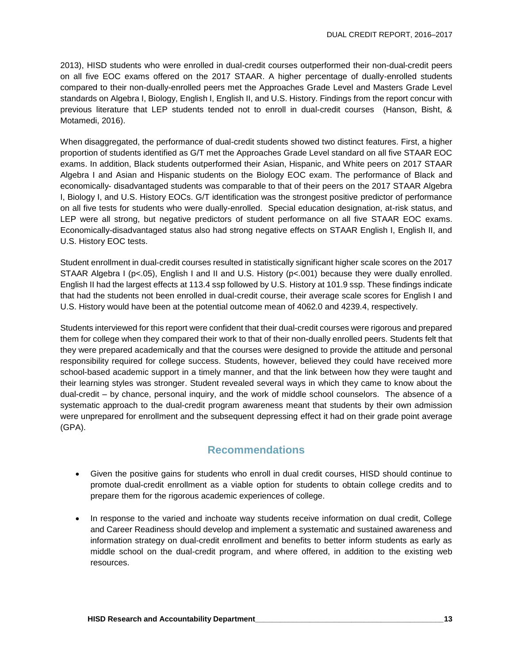2013), HISD students who were enrolled in dual-credit courses outperformed their non-dual-credit peers on all five EOC exams offered on the 2017 STAAR. A higher percentage of dually-enrolled students compared to their non-dually-enrolled peers met the Approaches Grade Level and Masters Grade Level standards on Algebra I, Biology, English I, English II, and U.S. History. Findings from the report concur with previous literature that LEP students tended not to enroll in dual-credit courses (Hanson, Bisht, & Motamedi, 2016).

When disaggregated, the performance of dual-credit students showed two distinct features. First, a higher proportion of students identified as G/T met the Approaches Grade Level standard on all five STAAR EOC exams. In addition, Black students outperformed their Asian, Hispanic, and White peers on 2017 STAAR Algebra I and Asian and Hispanic students on the Biology EOC exam. The performance of Black and economically- disadvantaged students was comparable to that of their peers on the 2017 STAAR Algebra I, Biology I, and U.S. History EOCs. G/T identification was the strongest positive predictor of performance on all five tests for students who were dually-enrolled. Special education designation, at-risk status, and LEP were all strong, but negative predictors of student performance on all five STAAR EOC exams. Economically-disadvantaged status also had strong negative effects on STAAR English I, English II, and U.S. History EOC tests.

Student enrollment in dual-credit courses resulted in statistically significant higher scale scores on the 2017 STAAR Algebra I ( $p$ <.05), English I and II and U.S. History ( $p$ <.001) because they were dually enrolled. English II had the largest effects at 113.4 ssp followed by U.S. History at 101.9 ssp. These findings indicate that had the students not been enrolled in dual-credit course, their average scale scores for English I and U.S. History would have been at the potential outcome mean of 4062.0 and 4239.4, respectively.

Students interviewed for this report were confident that their dual-credit courses were rigorous and prepared them for college when they compared their work to that of their non-dually enrolled peers. Students felt that they were prepared academically and that the courses were designed to provide the attitude and personal responsibility required for college success. Students, however, believed they could have received more school-based academic support in a timely manner, and that the link between how they were taught and their learning styles was stronger. Student revealed several ways in which they came to know about the dual-credit – by chance, personal inquiry, and the work of middle school counselors. The absence of a systematic approach to the dual-credit program awareness meant that students by their own admission were unprepared for enrollment and the subsequent depressing effect it had on their grade point average (GPA).

## **Recommendations**

- Given the positive gains for students who enroll in dual credit courses, HISD should continue to promote dual-credit enrollment as a viable option for students to obtain college credits and to prepare them for the rigorous academic experiences of college.
- In response to the varied and inchoate way students receive information on dual credit, College and Career Readiness should develop and implement a systematic and sustained awareness and information strategy on dual-credit enrollment and benefits to better inform students as early as middle school on the dual-credit program, and where offered, in addition to the existing web resources.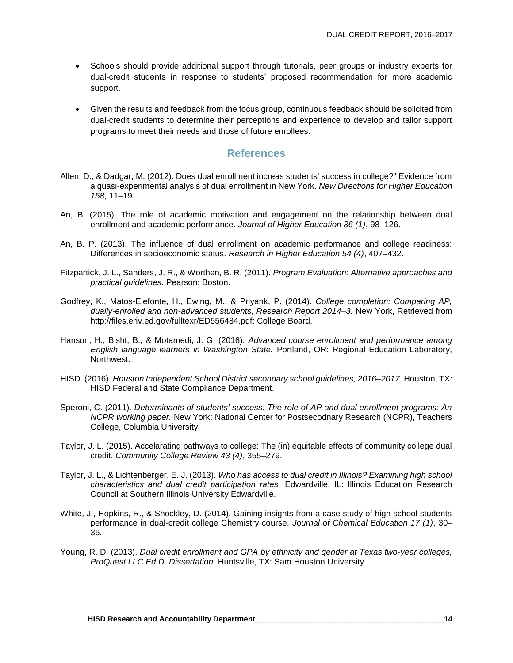- Schools should provide additional support through tutorials, peer groups or industry experts for dual-credit students in response to students' proposed recommendation for more academic support.
- Given the results and feedback from the focus group, continuous feedback should be solicited from dual-credit students to determine their perceptions and experience to develop and tailor support programs to meet their needs and those of future enrollees.

#### **References**

- Allen, D., & Dadgar, M. (2012). Does dual enrollment increas students' success in college?" Evidence from a quasi-experimental analysis of dual enrollment in New York. *New Directions for Higher Education 158*, 11–19.
- An, B. (2015). The role of academic motivation and engagement on the relationship between dual enrollment and academic performance. *Journal of Higher Education 86 (1)*, 98–126.
- An, B. P. (2013). The influence of dual enrollment on academic performance and college readiness: Differences in socioeconomic status. *Research in Higher Education 54 (4)*, 407–432.
- Fitzpartick, J. L., Sanders, J. R., & Worthen, B. R. (2011). *Program Evaluation: Alternative approaches and practical guidelines.* Pearson: Boston.
- Godfrey, K., Matos-Elefonte, H., Ewing, M., & Priyank, P. (2014). *College completion: Comparing AP, dually-enrolled and non-advanced students, Research Report 2014–3.* New York, Retrieved from http://files.eriv.ed.gov/fulltexr/ED556484.pdf: College Board.
- Hanson, H., Bisht, B., & Motamedi, J. G. (2016). *Advanced course enrollment and performance among English language learners in Washington State.* Portland, OR: Regional Education Laboratory, Northwest.
- HISD. (2016). *Houston Independent School District secondary school guidelines, 2016–2017.* Houston, TX: HISD Federal and State Compliance Department.
- Speroni, C. (2011). *Determinants of students' success: The role of AP and dual enrollment programs: An NCPR working paper.* New York: National Center for Postsecodnary Research (NCPR), Teachers College, Columbia University.
- Taylor, J. L. (2015). Accelarating pathways to college: The (in) equitable effects of community college dual credit. *Community College Review 43 (4)*, 355–279.
- Taylor, J. L., & Lichtenberger, E. J. (2013). *Who has access to dual credit in Illinois? Examining high school characteristics and dual credit participation rates.* Edwardville, IL: Illinois Education Research Council at Southern Illinois University Edwardville.
- White, J., Hopkins, R., & Shockley, D. (2014). Gaining insights from a case study of high school students performance in dual-credit college Chemistry course. *Journal of Chemical Education 17 (1)*, 30– 36.
- Young, R. D. (2013). *Dual credit enrollment and GPA by ethnicity and gender at Texas two-year colleges, ProQuest LLC Ed.D. Dissertation.* Huntsville, TX: Sam Houston University.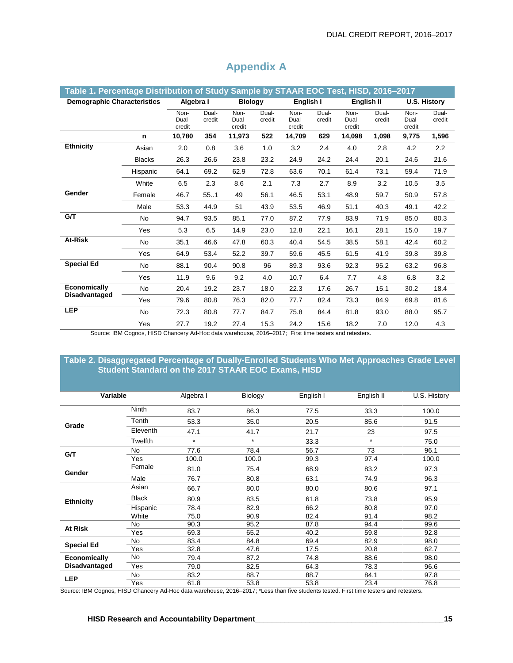| Table 1. Percentage Distribution of Study Sample by STAAR EOC Test, HISD, 2016-2017 |                         |                                                    |                 |                         |                 |                             |                 |                         |                 |                         |                 |
|-------------------------------------------------------------------------------------|-------------------------|----------------------------------------------------|-----------------|-------------------------|-----------------|-----------------------------|-----------------|-------------------------|-----------------|-------------------------|-----------------|
| <b>Demographic Characteristics</b>                                                  |                         | Algebra I                                          |                 | <b>Biology</b>          |                 | English I                   |                 | English II              |                 | <b>U.S. History</b>     |                 |
|                                                                                     |                         | Non-<br>Dual-<br>credit                            | Dual-<br>credit | Non-<br>Dual-<br>credit | Dual-<br>credit | Non-<br>Dual-<br>credit     | Dual-<br>credit | Non-<br>Dual-<br>credit | Dual-<br>credit | Non-<br>Dual-<br>credit | Dual-<br>credit |
|                                                                                     | n                       | 10,780                                             | 354             | 11,973                  | 522             | 14,709                      | 629             | 14,098                  | 1,098           | 9,775                   | 1,596           |
| <b>Ethnicity</b>                                                                    | Asian                   | 2.0                                                | 0.8             | 3.6                     | 1.0             | 3.2                         | 2.4             | 4.0                     | 2.8             | 4.2                     | 2.2             |
|                                                                                     | <b>Blacks</b>           | 26.3                                               | 26.6            | 23.8                    | 23.2            | 24.9                        | 24.2            | 24.4                    | 20.1            | 24.6                    | 21.6            |
|                                                                                     | Hispanic                | 64.1                                               | 69.2            | 62.9                    | 72.8            | 63.6                        | 70.1            | 61.4                    | 73.1            | 59.4                    | 71.9            |
|                                                                                     | White                   | 6.5                                                | 2.3             | 8.6                     | 2.1             | 7.3                         | 2.7             | 8.9                     | 3.2             | 10.5                    | 3.5             |
| Gender                                                                              | Female                  | 46.7                                               | 55.1            | 49                      | 56.1            | 46.5                        | 53.1            | 48.9                    | 59.7            | 50.9                    | 57.8            |
|                                                                                     | Male                    | 53.3                                               | 44.9            | 51                      | 43.9            | 53.5                        | 46.9            | 51.1                    | 40.3            | 49.1                    | 42.2            |
| G/T                                                                                 | <b>No</b>               | 94.7                                               | 93.5            | 85.1                    | 77.0            | 87.2                        | 77.9            | 83.9                    | 71.9            | 85.0                    | 80.3            |
|                                                                                     | Yes                     | 5.3                                                | 6.5             | 14.9                    | 23.0            | 12.8                        | 22.1            | 16.1                    | 28.1            | 15.0                    | 19.7            |
| At-Risk                                                                             | No                      | 35.1                                               | 46.6            | 47.8                    | 60.3            | 40.4                        | 54.5            | 38.5                    | 58.1            | 42.4                    | 60.2            |
|                                                                                     | Yes                     | 64.9                                               | 53.4            | 52.2                    | 39.7            | 59.6                        | 45.5            | 61.5                    | 41.9            | 39.8                    | 39.8            |
| <b>Special Ed</b>                                                                   | No                      | 88.1                                               | 90.4            | 90.8                    | 96              | 89.3                        | 93.6            | 92.3                    | 95.2            | 63.2                    | 96.8            |
|                                                                                     | Yes                     | 11.9                                               | 9.6             | 9.2                     | 4.0             | 10.7                        | 6.4             | 7.7                     | 4.8             | 6.8                     | 3.2             |
| Economically                                                                        | <b>No</b>               | 20.4                                               | 19.2            | 23.7                    | 18.0            | 22.3                        | 17.6            | 26.7                    | 15.1            | 30.2                    | 18.4            |
| <b>Disadvantaged</b>                                                                | Yes                     | 79.6                                               | 80.8            | 76.3                    | 82.0            | 77.7                        | 82.4            | 73.3                    | 84.9            | 69.8                    | 81.6            |
| <b>LEP</b>                                                                          | No                      | 72.3                                               | 80.8            | 77.7                    | 84.7            | 75.8                        | 84.4            | 81.8                    | 93.0            | 88.0                    | 95.7            |
| $\sim$                                                                              | Yes<br>$P^{\text{max}}$ | 27.7<br>$\sim$ 1100 Okansan Ad Has data masslering | 19.2            | 27.4                    | 15.3            | 24.2<br>$0040.0047.$ $\Box$ | 15.6            | 18.2                    | 7.0             | 12.0                    | 4.3             |

## **Appendix A**

Source: IBM Cognos, HISD Chancery Ad-Hoc data warehouse, 2016–2017; First time testers and retesters.

#### **Table 2. Disaggregated Percentage of Dually-Enrolled Students Who Met Approaches Grade Level Student Standard on the 2017 STAAR EOC Exams, HISD**

| Variable             |              | Algebra I | Biology | English I | English II | U.S. History |
|----------------------|--------------|-----------|---------|-----------|------------|--------------|
|                      | <b>Ninth</b> | 83.7      | 86.3    | 77.5      | 33.3       | 100.0        |
|                      | Tenth        | 53.3      | 35.0    | 20.5      | 85.6       | 91.5         |
| Grade                | Eleventh     | 47.1      | 41.7    | 21.7      | 23         | 97.5         |
|                      | Twelfth      | $\star$   | $\star$ | 33.3      | $\star$    | 75.0         |
|                      | No.          | 77.6      | 78.4    | 56.7      | 73         | 96.1         |
| G/T                  | Yes          | 100.0     | 100.0   | 99.3      | 97.4       | 100.0        |
| Gender               | Female       | 81.0      | 75.4    | 68.9      | 83.2       | 97.3         |
|                      | Male         | 76.7      | 80.8    | 63.1      | 74.9       | 96.3         |
|                      | Asian        | 66.7      | 80.0    | 80.0      | 80.6       | 97.1         |
| <b>Ethnicity</b>     | <b>Black</b> | 80.9      | 83.5    | 61.8      | 73.8       | 95.9         |
|                      | Hispanic     | 78.4      | 82.9    | 66.2      | 80.8       | 97.0         |
|                      | White        | 75.0      | 90.9    | 82.4      | 91.4       | 98.2         |
| At Risk              | No           | 90.3      | 95.2    | 87.8      | 94.4       | 99.6         |
|                      | Yes          | 69.3      | 65.2    | 40.2      | 59.8       | 92.8         |
| <b>Special Ed</b>    | No           | 83.4      | 84.8    | 69.4      | 82.9       | 98.0         |
|                      | Yes          | 32.8      | 47.6    | 17.5      | 20.8       | 62.7         |
| Economically         | No           | 79.4      | 87.2    | 74.8      | 88.6       | 98.0         |
| <b>Disadvantaged</b> | Yes          | 79.0      | 82.5    | 64.3      | 78.3       | 96.6         |
|                      | No.          | 83.2      | 88.7    | 88.7      | 84.1       | 97.8         |
| <b>LEP</b>           | Yes          | 61.8      | 53.8    | 53.8      | 23.4       | 76.8         |

Source: IBM Cognos, HISD Chancery Ad-Hoc data warehouse, 2016–2017; \*Less than five students tested. First time testers and retesters.

#### **HISD Research and Accountability Department\_\_\_\_\_\_\_\_\_\_\_\_\_\_\_\_\_\_\_\_\_\_\_\_\_\_\_\_\_\_\_\_\_\_\_\_\_\_\_\_\_\_\_\_\_15**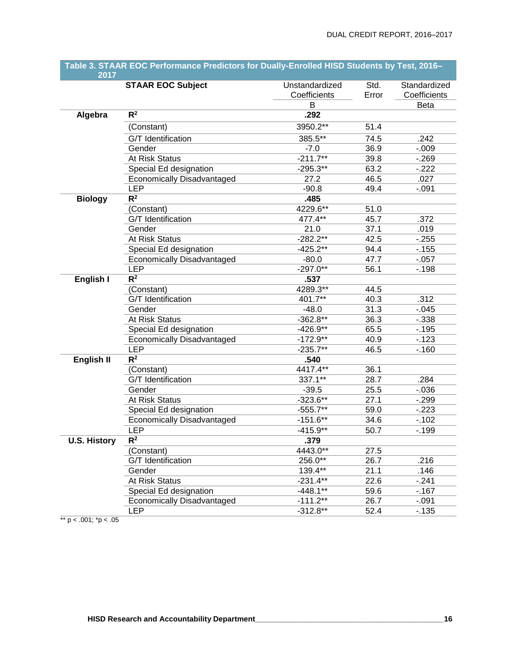| 2017                |                                   |                                |               |                              |
|---------------------|-----------------------------------|--------------------------------|---------------|------------------------------|
|                     | <b>STAAR EOC Subject</b>          | Unstandardized<br>Coefficients | Std.<br>Error | Standardized<br>Coefficients |
|                     |                                   | B                              |               | <b>Beta</b>                  |
| Algebra             | $R^2$                             | .292                           |               |                              |
|                     | (Constant)                        | 3950.2**                       | 51.4          |                              |
|                     | G/T Identification                | 385.5**                        | 74.5          | .242                         |
|                     | Gender                            | $-7.0$                         | 36.9          | $-0.09$                      |
|                     | At Risk Status                    | $-211.7**$                     | 39.8          | $-269$                       |
|                     | Special Ed designation            | $-295.3**$                     | 63.2          | $-222$                       |
|                     | Economically Disadvantaged        | 27.2                           | 46.5          | .027                         |
|                     | <b>LEP</b>                        | $-90.8$                        | 49.4          | $-0.091$                     |
| <b>Biology</b>      | $\overline{\mathsf{R}^2}$         | .485                           |               |                              |
|                     | (Constant)                        | 4229.6**                       | 51.0          |                              |
|                     | G/T Identification                | 477.4**                        | 45.7          | .372                         |
|                     | Gender                            | 21.0                           | 37.1          | .019                         |
|                     | At Risk Status                    | $-282.2**$                     | 42.5          | $-255$                       |
|                     | Special Ed designation            | $-425.2**$                     | 94.4          | $-155$                       |
|                     | <b>Economically Disadvantaged</b> | $-80.0$                        | 47.7          | $-057$                       |
|                     | <b>LEP</b>                        | $-297.0**$                     | 56.1          | $-.198$                      |
| English I           | $R^2$                             | .537                           |               |                              |
|                     | (Constant)                        | 4289.3**                       | 44.5          |                              |
|                     | <b>G/T</b> Identification         | 401.7**                        | 40.3          | .312                         |
|                     | Gender                            | $-48.0$                        | 31.3          | $-0.045$                     |
|                     | At Risk Status                    | $-362.8**$                     | 36.3          | $-0.338$                     |
|                     | Special Ed designation            | $-426.9**$                     | 65.5          | $-195$                       |
|                     | Economically Disadvantaged        | $-172.9**$                     | 40.9          | $-123$                       |
|                     | <b>LEP</b>                        | $-235.7**$                     | 46.5          | $-.160$                      |
| <b>English II</b>   | $\overline{\mathsf{R}^2}$         | .540                           |               |                              |
|                     | (Constant)                        | 4417.4**                       | 36.1          |                              |
|                     | G/T Identification                | 337.1**                        | 28.7          | .284                         |
|                     | Gender                            | $-39.5$                        | 25.5          | $-0.036$                     |
|                     | At Risk Status                    | $-323.6**$                     | 27.1          | $-299$                       |
|                     | Special Ed designation            | $-555.7**$                     | 59.0          | $-223$                       |
|                     | <b>Economically Disadvantaged</b> | $-151.6**$                     | 34.6          | $-.102$                      |
|                     | <b>LEP</b>                        | $-415.9**$                     | 50.7          | $-.199$                      |
| <b>U.S. History</b> | R <sup>2</sup>                    | .379                           |               |                              |
|                     | (Constant)                        | 4443.0**                       | 27.5          |                              |
|                     | G/T Identification                | 256.0**                        | 26.7          | .216                         |
|                     | Gender                            | 139.4**                        | 21.1          | .146                         |
|                     | At Risk Status                    | $-231.4**$                     | 22.6          | $-241$                       |
|                     | Special Ed designation            | $-448.1**$                     | 59.6          | $-.167$                      |
|                     | Economically Disadvantaged        | $-111.2**$                     | 26.7          | $-0.91$                      |
|                     | <b>LEP</b>                        | $-312.8**$                     | 52.4          | $-135$                       |

## **Table 3. STAAR EOC Performance Predictors for Dually-Enrolled HISD Students by Test, 2016–**

\*\*  $p < .001$ ; \* $p < .05$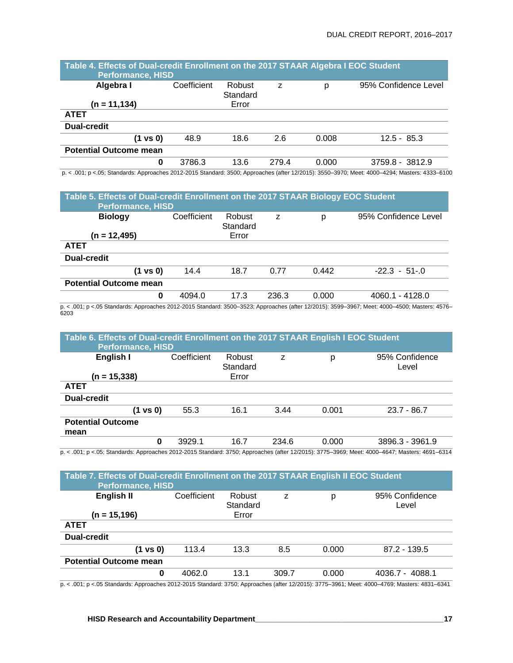| Table 4. Effects of Dual-credit Enrollment on the 2017 STAAR Algebra I EOC Student<br><b>Performance, HISD</b> |             |                    |       |       |                      |  |  |  |  |
|----------------------------------------------------------------------------------------------------------------|-------------|--------------------|-------|-------|----------------------|--|--|--|--|
| Algebra I                                                                                                      | Coefficient | Robust<br>Standard | z     | р     | 95% Confidence Level |  |  |  |  |
| (n = 11,134)                                                                                                   |             | Error              |       |       |                      |  |  |  |  |
| <b>ATET</b>                                                                                                    |             |                    |       |       |                      |  |  |  |  |
| <b>Dual-credit</b>                                                                                             |             |                    |       |       |                      |  |  |  |  |
| (1 vs 0)                                                                                                       | 48.9        | 18.6               | 2.6   | 0.008 | $12.5 - 85.3$        |  |  |  |  |
| <b>Potential Outcome mean</b>                                                                                  |             |                    |       |       |                      |  |  |  |  |
| 0                                                                                                              | 3786.3      | 13.6               | 279.4 | 0.000 | 3759.8 - 3812.9      |  |  |  |  |

p. < .001; p <.05; Standards: Approaches 2012-2015 Standard: 3500; Approaches (after 12/2015): 3550–3970; Meet: 4000–4294; Masters: 4333–6100

| Table 5. Effects of Dual-credit Enrollment on the 2017 STAAR Biology EOC Student<br><b>Performance, HISD</b> |             |                    |       |       |                      |  |  |  |  |
|--------------------------------------------------------------------------------------------------------------|-------------|--------------------|-------|-------|----------------------|--|--|--|--|
| <b>Biology</b>                                                                                               | Coefficient | Robust<br>Standard | z     | р     | 95% Confidence Level |  |  |  |  |
| (n = 12,495)                                                                                                 |             | Error              |       |       |                      |  |  |  |  |
| <b>ATET</b>                                                                                                  |             |                    |       |       |                      |  |  |  |  |
| <b>Dual-credit</b>                                                                                           |             |                    |       |       |                      |  |  |  |  |
| (1 vs 0)                                                                                                     | 14.4        | 18.7               | 0.77  | 0.442 | $-22.3 - 51 - 0$     |  |  |  |  |
| <b>Potential Outcome mean</b>                                                                                |             |                    |       |       |                      |  |  |  |  |
| 0                                                                                                            | 4094.0      | 17.3               | 236.3 | 0.000 | 4060.1 - 4128.0      |  |  |  |  |

p. < .001; p <.05 Standards: Approaches 2012-2015 Standard: 3500–3523; Approaches (after 12/2015): 3599–3967; Meet: 4000–4500; Masters: 4576– 6203

| Table 6. Effects of Dual-credit Enrollment on the 2017 STAAR English I EOC Student<br><b>Performance, HISD</b> |             |                             |       |       |                         |
|----------------------------------------------------------------------------------------------------------------|-------------|-----------------------------|-------|-------|-------------------------|
| English I<br>(n = 15,338)                                                                                      | Coefficient | Robust<br>Standard<br>Error | z     | р     | 95% Confidence<br>Level |
| <b>ATET</b>                                                                                                    |             |                             |       |       |                         |
| <b>Dual-credit</b>                                                                                             |             |                             |       |       |                         |
| (1 vs 0)                                                                                                       | 55.3        | 16.1                        | 3.44  | 0.001 | $23.7 - 86.7$           |
| <b>Potential Outcome</b>                                                                                       |             |                             |       |       |                         |
| mean                                                                                                           |             |                             |       |       |                         |
| 0<br>$\overline{0}$                                                                                            | 3929.1      | 16.7                        | 234.6 | 0.000 | 3896.3 - 3961.9         |

p. < .001; p <.05; Standards: Approaches 2012-2015 Standard: 3750; Approaches (after 12/2015): 3775–3969; Meet: 4000–4647; Masters: 4691–6314

| Table 7. Effects of Dual-credit Enrollment on the 2017 STAAR English II EOC Student<br><b>Performance, HISD</b> |             |                    |       |       |                         |  |  |  |  |
|-----------------------------------------------------------------------------------------------------------------|-------------|--------------------|-------|-------|-------------------------|--|--|--|--|
| English II                                                                                                      | Coefficient | Robust<br>Standard | z     | р     | 95% Confidence<br>Level |  |  |  |  |
| $(n = 15, 196)$                                                                                                 |             | Error              |       |       |                         |  |  |  |  |
| <b>ATET</b>                                                                                                     |             |                    |       |       |                         |  |  |  |  |
| <b>Dual-credit</b>                                                                                              |             |                    |       |       |                         |  |  |  |  |
| (1 vs 0)                                                                                                        | 113.4       | 13.3               | 8.5   | 0.000 | $87.2 - 139.5$          |  |  |  |  |
| <b>Potential Outcome mean</b>                                                                                   |             |                    |       |       |                         |  |  |  |  |
| 0                                                                                                               | 4062.0      | 13.1               | 309.7 | 0.000 | 4036.7 - 4088.1         |  |  |  |  |

p. < .001; p <.05 Standards: Approaches 2012-2015 Standard: 3750; Approaches (after 12/2015): 3775–3961; Meet: 4000–4769; Masters: 4831–6341